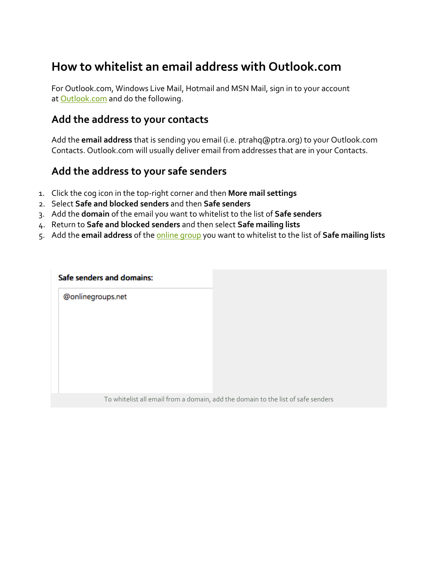## **How to whitelist an email address with Outlook.com**

For Outlook.com, Windows Live Mail, Hotmail and MSN Mail, sign in to your account at **[Outlook.com](https://outlook.com/)** and do the following.

## **Add the address to your contacts**

Add the **email address** that is sending you email (i.e. ptrahq@ptra.org) to your Outlook.com Contacts. Outlook.com will usually deliver email from addresses that are in your Contacts.

## **Add the address to your safe senders**

- 1. Click the cog icon in the top-right corner and then **More mail settings**
- 2. Select **Safe and blocked senders** and then **Safe senders**
- 3. Add the **domain** of the email you want to whitelist to the list of **Safe senders**
- 4. Return to **Safe and blocked senders** and then select **Safe mailing lists**
- 5. Add the **email address** of the [online group](http://onlinegroups.net/blog/2014/02/17/mailing-list-managers-listservs/) you want to whitelist to the list of **Safe mailing lists**

To whitelist all email from a domain, add the domain to the list of safe senders